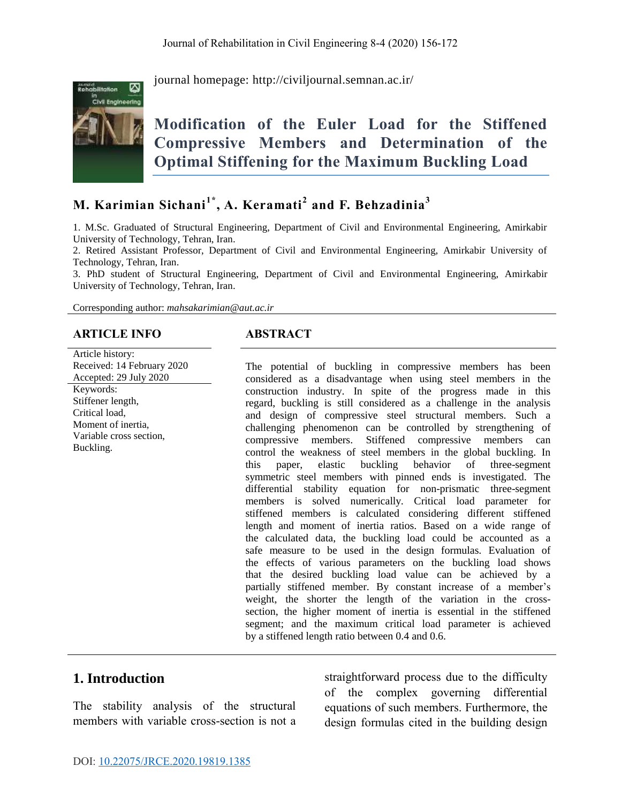

journal homepage:<http://civiljournal.semnan.ac.ir/>

# **Modification of the Euler Load for the Stiffened Compressive Members and Determination of the Optimal Stiffening for the Maximum Buckling Load**

## **M. Karimian Sichani1\* , A. Keramati<sup>2</sup> and F. Behzadinia<sup>3</sup>**

1. M.Sc. Graduated of Structural Engineering, Department of Civil and Environmental Engineering, Amirkabir University of Technology, Tehran, Iran.

2. Retired Assistant Professor, Department of Civil and Environmental Engineering, Amirkabir University of Technology, Tehran, Iran.

3. PhD student of Structural Engineering, Department of Civil and Environmental Engineering, Amirkabir University of Technology, Tehran, Iran.

Corresponding author: *[mahsakarimian@aut.ac.ir](mailto:mahsakarimian@aut.ac.ir)*

#### **ARTICLE INFO ABSTRACT**

Article history: Received: 14 February 2020 Accepted: 29 July 2020 Keywords: Stiffener length, Critical load, Moment of inertia, Variable cross section, Buckling.

The potential of buckling in compressive members has been considered as a disadvantage when using steel members in the construction industry. In spite of the progress made in this regard, buckling is still considered as a challenge in the analysis and design of compressive steel structural members. Such a challenging phenomenon can be controlled by strengthening of compressive members. Stiffened compressive members can control the weakness of steel members in the global buckling. In this paper, elastic buckling behavior of three-segment symmetric steel members with pinned ends is investigated. The differential stability equation for non-prismatic three-segment members is solved numerically. Critical load parameter for stiffened members is calculated considering different stiffened length and moment of inertia ratios. Based on a wide range of the calculated data, the buckling load could be accounted as a safe measure to be used in the design formulas. Evaluation of the effects of various parameters on the buckling load shows that the desired buckling load value can be achieved by a partially stiffened member. By constant increase of a member's weight, the shorter the length of the variation in the crosssection, the higher moment of inertia is essential in the stiffened segment; and the maximum critical load parameter is achieved by a stiffened length ratio between 0.4 and 0.6.

#### **1. Introduction**

The stability analysis of the structural members with variable cross-section is not a straightforward process due to the difficulty of the complex governing differential equations of such members. Furthermore, the design formulas cited in the building design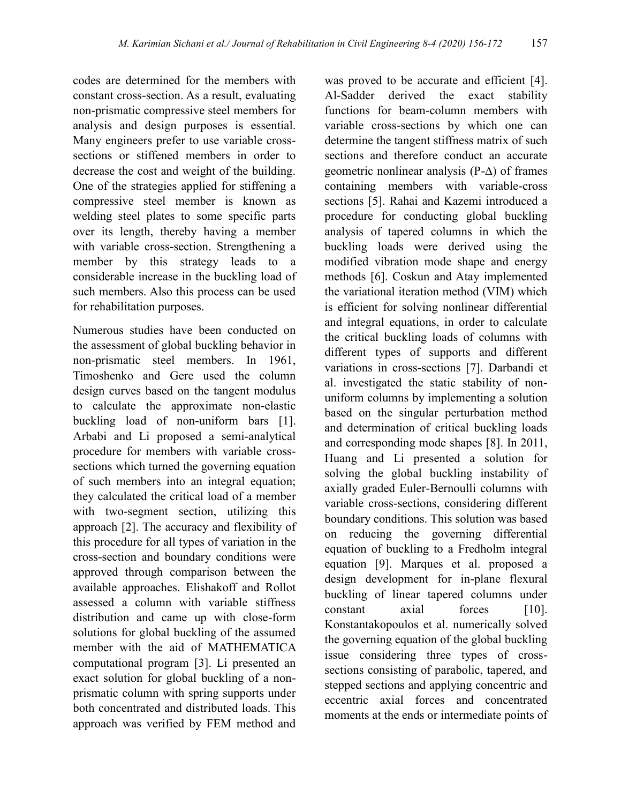codes are determined for the members with constant cross-section. As a result, evaluating non-prismatic compressive steel members for analysis and design purposes is essential. Many engineers prefer to use variable crosssections or stiffened members in order to decrease the cost and weight of the building. One of the strategies applied for stiffening a compressive steel member is known as welding steel plates to some specific parts over its length, thereby having a member with variable cross-section. Strengthening a member by this strategy leads to a considerable increase in the buckling load of such members. Also this process can be used for rehabilitation purposes.

Numerous studies have been conducted on the assessment of global buckling behavior in non-prismatic steel members. In 1961, Timoshenko and Gere used the column design curves based on the tangent modulus to calculate the approximate non-elastic buckling load of non-uniform bars [1]. Arbabi and Li proposed a semi-analytical procedure for members with variable crosssections which turned the governing equation of such members into an integral equation; they calculated the critical load of a member with two-segment section, utilizing this approach [2]. The accuracy and flexibility of this procedure for all types of variation in the cross-section and boundary conditions were approved through comparison between the available approaches. Elishakoff and Rollot assessed a column with variable stiffness distribution and came up with close-form solutions for global buckling of the assumed member with the aid of MATHEMATICA computational program [3]. Li presented an exact solution for global buckling of a nonprismatic column with spring supports under both concentrated and distributed loads. This approach was verified by FEM method and

was proved to be accurate and efficient [4]. Al-Sadder derived the exact stability functions for beam-column members with variable cross-sections by which one can determine the tangent stiffness matrix of such sections and therefore conduct an accurate geometric nonlinear analysis (P-∆) of frames containing members with variable-cross sections [5]. Rahai and Kazemi introduced a procedure for conducting global buckling analysis of tapered columns in which the buckling loads were derived using the modified vibration mode shape and energy methods [6]. Coskun and Atay implemented the variational iteration method (VIM) which is efficient for solving nonlinear differential and integral equations, in order to calculate the critical buckling loads of columns with different types of supports and different variations in cross-sections [7]. Darbandi et al. investigated the static stability of nonuniform columns by implementing a solution based on the singular perturbation method and determination of critical buckling loads and corresponding mode shapes [8]. In 2011, Huang and Li presented a solution for solving the global buckling instability of axially graded Euler-Bernoulli columns with variable cross-sections, considering different boundary conditions. This solution was based on reducing the governing differential equation of buckling to a Fredholm integral equation [9]. Marques et al. proposed a design development for in-plane flexural buckling of linear tapered columns under constant axial forces [10]. Konstantakopoulos et al. numerically solved the governing equation of the global buckling issue considering three types of crosssections consisting of parabolic, tapered, and stepped sections and applying concentric and eccentric axial forces and concentrated moments at the ends or intermediate points of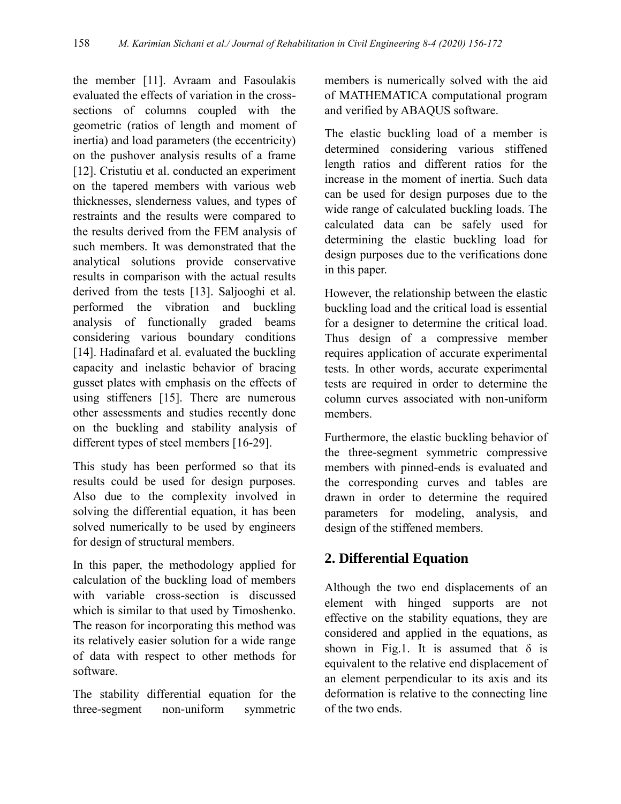the member [11]. Avraam and Fasoulakis evaluated the effects of variation in the crosssections of columns coupled with the geometric (ratios of length and moment of inertia) and load parameters (the eccentricity) on the pushover analysis results of a frame [12]. Cristutiu et al. conducted an experiment on the tapered members with various web thicknesses, slenderness values, and types of restraints and the results were compared to the results derived from the FEM analysis of such members. It was demonstrated that the analytical solutions provide conservative results in comparison with the actual results derived from the tests [13]. Saljooghi et al. performed the vibration and buckling analysis of functionally graded beams considering various boundary conditions [14]. Hadinafard et al. evaluated the buckling capacity and inelastic behavior of bracing gusset plates with emphasis on the effects of using stiffeners [15]. There are numerous other assessments and studies recently done on the buckling and stability analysis of different types of steel members [16-29].

This study has been performed so that its results could be used for design purposes. Also due to the complexity involved in solving the differential equation, it has been solved numerically to be used by engineers for design of structural members.

In this paper, the methodology applied for calculation of the buckling load of members with variable cross-section is discussed which is similar to that used by Timoshenko. The reason for incorporating this method was its relatively easier solution for a wide range of data with respect to other methods for software.

The stability differential equation for the three-segment non-uniform symmetric

members is numerically solved with the aid of MATHEMATICA computational program and verified by ABAQUS software.

The elastic buckling load of a member is determined considering various stiffened length ratios and different ratios for the increase in the moment of inertia. Such data can be used for design purposes due to the wide range of calculated buckling loads. The calculated data can be safely used for determining the elastic buckling load for design purposes due to the verifications done in this paper.

However, the relationship between the elastic buckling load and the critical load is essential for a designer to determine the critical load. Thus design of a compressive member requires application of accurate experimental tests. In other words, accurate experimental tests are required in order to determine the column curves associated with non-uniform members.

Furthermore, the elastic buckling behavior of the three-segment symmetric compressive members with pinned-ends is evaluated and the corresponding curves and tables are drawn in order to determine the required parameters for modeling, analysis, and design of the stiffened members.

## **2. Differential Equation**

Although the two end displacements of an element with hinged supports are not effective on the stability equations, they are considered and applied in the equations, as shown in Fig.1. It is assumed that  $\delta$  is equivalent to the relative end displacement of an element perpendicular to its axis and its deformation is relative to the connecting line of the two ends.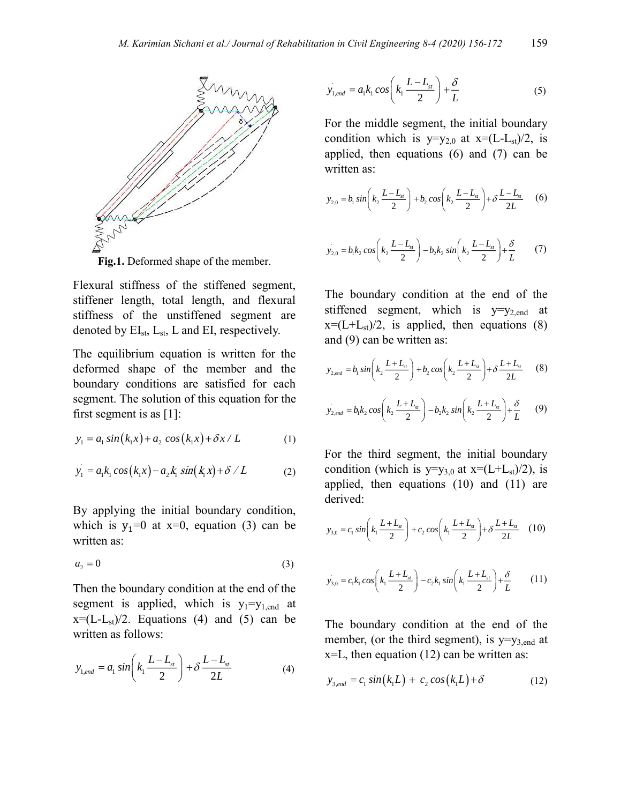

**Fig.1.** Deformed shape of the member.

Flexural stiffness of the stiffened segment, stiffener length, total length, and flexural stiffness of the unstiffened segment are denoted by  $EI_{st}$ ,  $L_{st}$ ,  $L$  and  $EI$ , respectively.

The equilibrium equation is written for the deformed shape of the member and the boundary conditions are satisfied for each segment. The solution of this equation for the first segment is as [1]:

$$
y_1 = a_1 \sin(k_1 x) + a_2 \cos(k_1 x) + \delta x / L
$$
 (1)

$$
y_1 = a_1 k_1 \cos (k_1 x) - a_2 k_1 \sin (k_1 x) + \delta / L \tag{2}
$$

By applying the initial boundary condition, which is  $y_1=0$  at  $x=0$ , equation (3) can be written as:

$$
a_2 = 0 \tag{3}
$$

Then the boundary condition at the end of the segment is applied, which is  $y_1=y_{1,\text{end}}$  at  $x=(L-L_{st})/2$ . Equations (4) and (5) can be written as follows:

$$
y_{1, end} = a_1 \sin\left(k_1 \frac{L - L_{st}}{2}\right) + \delta \frac{L - L_{st}}{2L}
$$
 (4)

$$
y_{1,end} = a_1 k_1 \cos\left(k_1 \frac{L - L_{st}}{2}\right) + \frac{\delta}{L}
$$
 (5)

For the middle segment, the initial boundary condition which is  $y=y_{2,0}$  at  $x=(L-L_{st})/2$ , is applied, then equations (6) and (7) can be written as:

$$
y_{2,0} = b_1 \sin\left(k_2 \frac{L - L_{st}}{2}\right) + b_2 \cos\left(k_2 \frac{L - L_{st}}{2}\right) + \delta \frac{L - L_{st}}{2L} \tag{6}
$$

$$
y'_{2,0} = b_1 k_2 \cos\left(k_2 \frac{L - L_{st}}{2}\right) - b_2 k_2 \sin\left(k_2 \frac{L - L_{st}}{2}\right) + \frac{\delta}{L}
$$
 (7)

The boundary condition at the end of the stiffened segment, which is  $y=y_{2,\text{end}}$  at  $x=(L+L_{st})/2$ , is applied, then equations (8) and (9) can be written as:

$$
y_{2,end} = b_1 \sin\left(k_2 \frac{L + L_{st}}{2}\right) + b_2 \cos\left(k_2 \frac{L + L_{st}}{2}\right) + \delta \frac{L + L_{st}}{2L} \tag{8}
$$

$$
y'_{2,end} = b_1 k_2 \cos\left(k_2 \frac{L + L_{st}}{2}\right) - b_2 k_2 \sin\left(k_2 \frac{L + L_{st}}{2}\right) + \frac{\delta}{L}
$$
 (9)

For the third segment, the initial boundary condition (which is  $y=y_{3,0}$  at  $x=(L+L_{st})/2)$ , is applied, then equations (10) and (11) are derived:

$$
y_{3,0} = c_1 \sin\left(k_1 \frac{L + L_{st}}{2}\right) + c_2 \cos\left(k_1 \frac{L + L_{st}}{2}\right) + \delta \frac{L + L_{st}}{2L} \quad (10)
$$

$$
y'_{3,0} = c_1 k_1 \cos\left(k_1 \frac{L + L_{st}}{2}\right) - c_2 k_1 \sin\left(k_1 \frac{L + L_{st}}{2}\right) + \frac{\delta}{L}
$$
 (11)

The boundary condition at the end of the member, (or the third segment), is  $y=y_{3,end}$  at  $x=L$ , then equation (12) can be written as:

$$
y_{3,end} = c_1 \sin(k_1 L) + c_2 \cos(k_1 L) + \delta \tag{12}
$$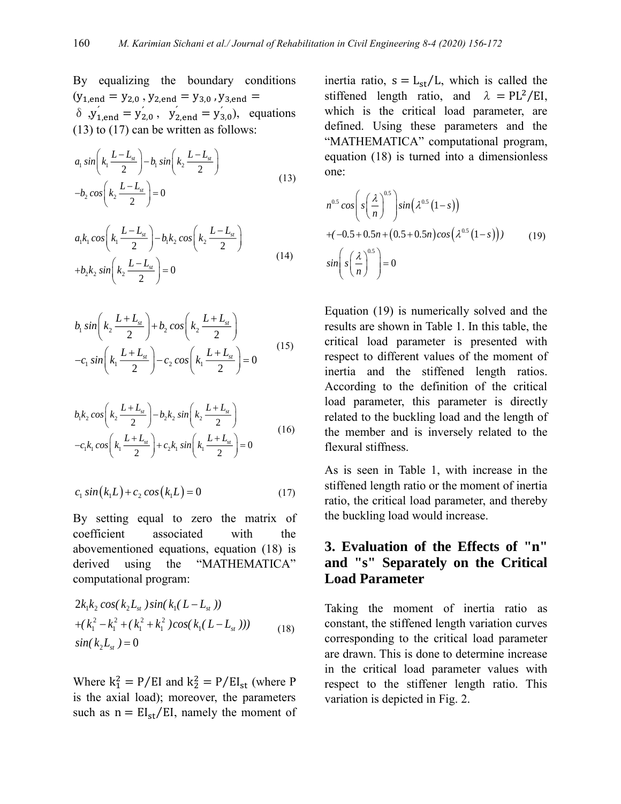By equalizing the boundary conditions  $(y_{1,end} = y_{2,0}$ ,  $y_{2,end} = y_{3,0}$ ,  $y_{3,end} =$  $δ$ ,  $y'_{1,end} = y'_{2,0}$ ,  $y'_{2,end} = y'_{3,0}$ , equations (13) to (17) can be written as follows:

$$
a_1 \sin\left(k_1 \frac{L - L_{st}}{2}\right) - b_1 \sin\left(k_2 \frac{L - L_{st}}{2}\right)
$$
  

$$
-b_2 \cos\left(k_2 \frac{L - L_{st}}{2}\right) = 0
$$
 (13)

$$
a_1 k_1 \cos\left(k_1 \frac{L - L_{st}}{2}\right) - b_1 k_2 \cos\left(k_2 \frac{L - L_{st}}{2}\right) + b_2 k_2 \sin\left(k_2 \frac{L - L_{st}}{2}\right) = 0
$$
\n(14)

$$
b_1 \sin\left(k_2 \frac{L+L_{st}}{2}\right) + b_2 \cos\left(k_2 \frac{L+L_{st}}{2}\right) - c_1 \sin\left(k_1 \frac{L+L_{st}}{2}\right) - c_2 \cos\left(k_1 \frac{L+L_{st}}{2}\right) = 0
$$
\n(15)

$$
b_1 k_2 \cos\left(k_2 \frac{L+L_s}{2}\right) - b_2 k_2 \sin\left(k_2 \frac{L+L_s}{2}\right) - c_1 k_1 \cos\left(k_1 \frac{L+L_s}{2}\right) + c_2 k_1 \sin\left(k_1 \frac{L+L_s}{2}\right) = 0
$$
\n(16)

$$
c_1 \sin(k_1 L) + c_2 \cos(k_1 L) = 0 \tag{17}
$$

By setting equal to zero the matrix of coefficient associated with the abovementioned equations, equation (18) is derived using the "MATHEMATICA" computational program:

$$
2k_1k_2 \cos(k_2L_{st})\sin(k_1(L-L_{st}))
$$
  
+ $(k_1^2 - k_1^2 + (k_1^2 + k_1^2)\cos(k_1(L-L_{st})))$   
 $\sin(k_2L_{st}) = 0$  (18)

Where  $k_1^2 = P/EI$  and  $k_2^2 = P/EI_{st}$  (where P is the axial load); moreover, the parameters such as  $n = EI_{st}/EI$ , namely the moment of inertia ratio,  $s = L_{st}/L$ , which is called the stiffened length ratio, and  $\lambda = PL^2/EI$ , which is the critical load parameter, are defined. Using these parameters and the "MATHEMATICA" computational program, equation (18) is turned into a dimensionless one:

$$
n^{0.5} \cos\left(s\left(\frac{\lambda}{n}\right)^{0.5}\right) \sin\left(\lambda^{0.5}\left(1-s\right)\right)
$$
  
 
$$
+(-0.5+0.5n+\left(0.5+0.5n\right) \cos\left(\lambda^{0.5}\left(1-s\right)\right)) \qquad (19)
$$
  
 
$$
\sin\left(s\left(\frac{\lambda}{n}\right)^{0.5}\right) = 0
$$

Equation (19) is numerically solved and the results are shown in Table 1. In this table, the critical load parameter is presented with respect to different values of the moment of inertia and the stiffened length ratios. According to the definition of the critical load parameter, this parameter is directly related to the buckling load and the length of the member and is inversely related to the flexural stiffness.

As is seen in Table 1, with increase in the stiffened length ratio or the moment of inertia ratio, the critical load parameter, and thereby the buckling load would increase.

#### **3. Evaluation of the Effects of "n" and "s" Separately on the Critical Load Parameter**

Taking the moment of inertia ratio as constant, the stiffened length variation curves corresponding to the critical load parameter are drawn. This is done to determine increase in the critical load parameter values with respect to the stiffener length ratio. This variation is depicted in Fig. 2.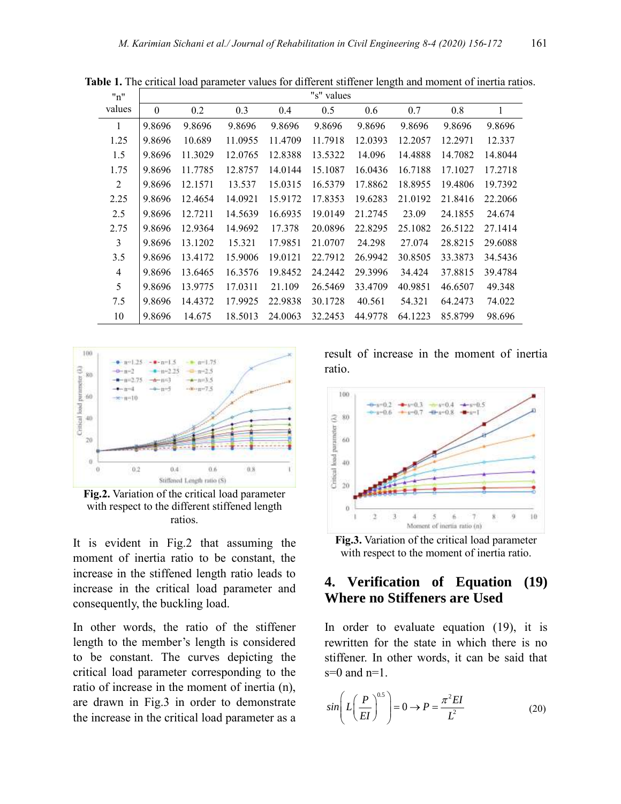| "n"            |              |         |         |         | "s" values |         |         |         |         |
|----------------|--------------|---------|---------|---------|------------|---------|---------|---------|---------|
| values         | $\mathbf{0}$ | 0.2     | 0.3     | 0.4     | 0.5        | 0.6     | 0.7     | 0.8     | 1       |
| 1              | 9.8696       | 9.8696  | 9.8696  | 9.8696  | 9.8696     | 9.8696  | 9.8696  | 9.8696  | 9.8696  |
| 1.25           | 9.8696       | 10.689  | 11.0955 | 11.4709 | 11.7918    | 12.0393 | 12.2057 | 12.2971 | 12.337  |
| 1.5            | 9.8696       | 11.3029 | 12.0765 | 12.8388 | 13.5322    | 14.096  | 14.4888 | 14.7082 | 14.8044 |
| 1.75           | 9.8696       | 11.7785 | 12.8757 | 14.0144 | 15.1087    | 16.0436 | 16.7188 | 17.1027 | 17.2718 |
| $\overline{2}$ | 9.8696       | 12.1571 | 13.537  | 15.0315 | 16.5379    | 17.8862 | 18.8955 | 19.4806 | 19.7392 |
| 2.25           | 9.8696       | 12.4654 | 14.0921 | 15.9172 | 17.8353    | 19.6283 | 21.0192 | 21.8416 | 22.2066 |
| 2.5            | 9.8696       | 12.7211 | 14.5639 | 16.6935 | 19.0149    | 21.2745 | 23.09   | 24.1855 | 24.674  |
| 2.75           | 9.8696       | 12.9364 | 14.9692 | 17.378  | 20.0896    | 22.8295 | 25.1082 | 26.5122 | 27.1414 |
| 3              | 9.8696       | 13.1202 | 15.321  | 17.9851 | 21.0707    | 24.298  | 27.074  | 28.8215 | 29.6088 |
| 3.5            | 9.8696       | 13.4172 | 15.9006 | 19.0121 | 22.7912    | 26.9942 | 30.8505 | 33.3873 | 34.5436 |
| $\overline{4}$ | 9.8696       | 13.6465 | 16.3576 | 19.8452 | 24.2442    | 29.3996 | 34.424  | 37.8815 | 39.4784 |
| 5              | 9.8696       | 13.9775 | 17.0311 | 21.109  | 26.5469    | 33.4709 | 40.9851 | 46.6507 | 49.348  |
| 7.5            | 9.8696       | 14.4372 | 17.9925 | 22.9838 | 30.1728    | 40.561  | 54.321  | 64.2473 | 74.022  |
| 10             | 9.8696       | 14.675  | 18.5013 | 24.0063 | 32.2453    | 44.9778 | 64.1223 | 85.8799 | 98.696  |

**Table 1.** The critical load parameter values for different stiffener length and moment of inertia ratios.



**Fig.2.** Variation of the critical load parameter with respect to the different stiffened length ratios.

It is evident in Fig.2 that assuming the moment of inertia ratio to be constant, the increase in the stiffened length ratio leads to increase in the critical load parameter and consequently, the buckling load.

In other words, the ratio of the stiffener length to the member's length is considered to be constant. The curves depicting the critical load parameter corresponding to the ratio of increase in the moment of inertia (n), are drawn in Fig.3 in order to demonstrate the increase in the critical load parameter as a

result of increase in the moment of inertia ratio.



**Fig.3.** Variation of the critical load parameter with respect to the moment of inertia ratio.

#### **4. Verification of Equation (19) Where no Stiffeners are Used**

In order to evaluate equation (19), it is rewritten for the state in which there is no stiffener. In other words, it can be said that  $s=0$  and  $n=1$ .

$$
\sin\left(L\left(\frac{P}{EI}\right)^{0.5}\right) = 0 \to P = \frac{\pi^2 EI}{L^2} \tag{20}
$$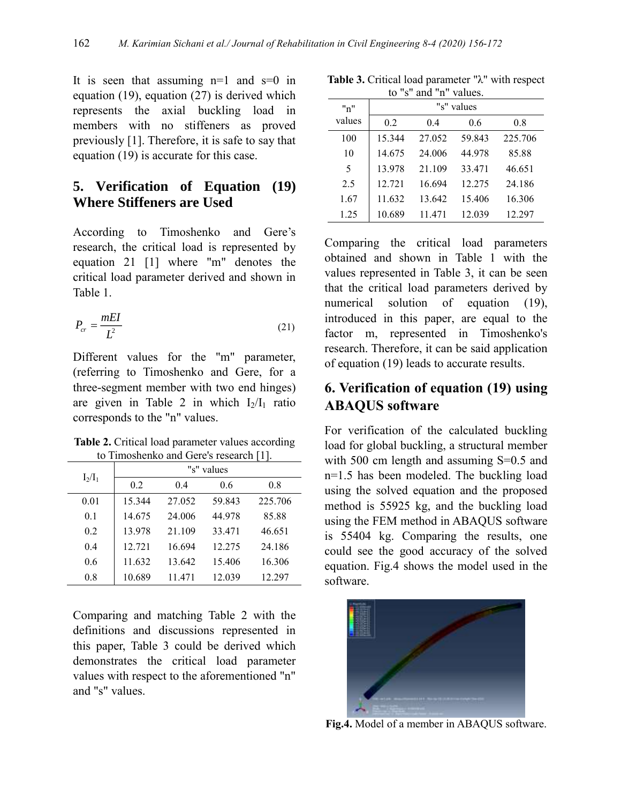It is seen that assuming  $n=1$  and  $s=0$  in equation (19), equation (27) is derived which represents the axial buckling load in members with no stiffeners as proved previously [1]. Therefore, it is safe to say that equation (19) is accurate for this case.

#### **5. Verification of Equation (19) Where Stiffeners are Used**

According to Timoshenko and Gere's research, the critical load is represented by equation 21 [1] where "m" denotes the critical load parameter derived and shown in Table 1.

$$
P_{cr} = \frac{mEI}{L^2} \tag{21}
$$

Different values for the "m" parameter, (referring to Timoshenko and Gere, for a three-segment member with two end hinges) are given in Table 2 in which  $I_2/I_1$  ratio corresponds to the "n" values.

**Table 2.** Critical load parameter values according to Timoshenko and Gere's research [1].

|           | "s" values |        |        |         |  |  |  |  |
|-----------|------------|--------|--------|---------|--|--|--|--|
| $I_2/I_1$ | 0.2        | 0.4    | 0.6    | 0.8     |  |  |  |  |
| 0.01      | 15.344     | 27.052 | 59.843 | 225.706 |  |  |  |  |
| 0.1       | 14.675     | 24,006 | 44.978 | 85.88   |  |  |  |  |
| 0.2       | 13.978     | 21.109 | 33.471 | 46.651  |  |  |  |  |
| 0.4       | 12.721     | 16.694 | 12.275 | 24.186  |  |  |  |  |
| 0.6       | 11.632     | 13.642 | 15.406 | 16.306  |  |  |  |  |
| 0.8       | 10.689     | 11.471 | 12.039 | 12.297  |  |  |  |  |

Comparing and matching Table 2 with the definitions and discussions represented in this paper, Table 3 could be derived which demonstrates the critical load parameter values with respect to the aforementioned "n" and "s" values.

**Table 3.** Critical load parameter "λ" with respect to "s" and "n" values.

| "n"    |        |        | "s" values |         |
|--------|--------|--------|------------|---------|
| values | 0.2    | 0.4    | 0.6        | 0.8     |
| 100    | 15.344 | 27.052 | 59.843     | 225.706 |
| 10     | 14.675 | 24,006 | 44.978     | 85.88   |
| 5      | 13.978 | 21.109 | 33.471     | 46.651  |
| 2.5    | 12.721 | 16.694 | 12.275     | 24.186  |
| 1.67   | 11.632 | 13.642 | 15.406     | 16.306  |
| 1.25   | 10.689 | 11.471 | 12.039     | 12.297  |

Comparing the critical load parameters obtained and shown in Table 1 with the values represented in Table 3, it can be seen that the critical load parameters derived by numerical solution of equation (19), introduced in this paper, are equal to the factor m, represented in Timoshenko's research. Therefore, it can be said application of equation (19) leads to accurate results.

## **6. Verification of equation (19) using ABAQUS software**

For verification of the calculated buckling load for global buckling, a structural member with 500 cm length and assuming S=0.5 and n=1.5 has been modeled. The buckling load using the solved equation and the proposed method is 55925 kg, and the buckling load using the FEM method in ABAQUS software is 55404 kg. Comparing the results, one could see the good accuracy of the solved equation. Fig.4 shows the model used in the software.



**Fig.4.** Model of a member in ABAQUS software.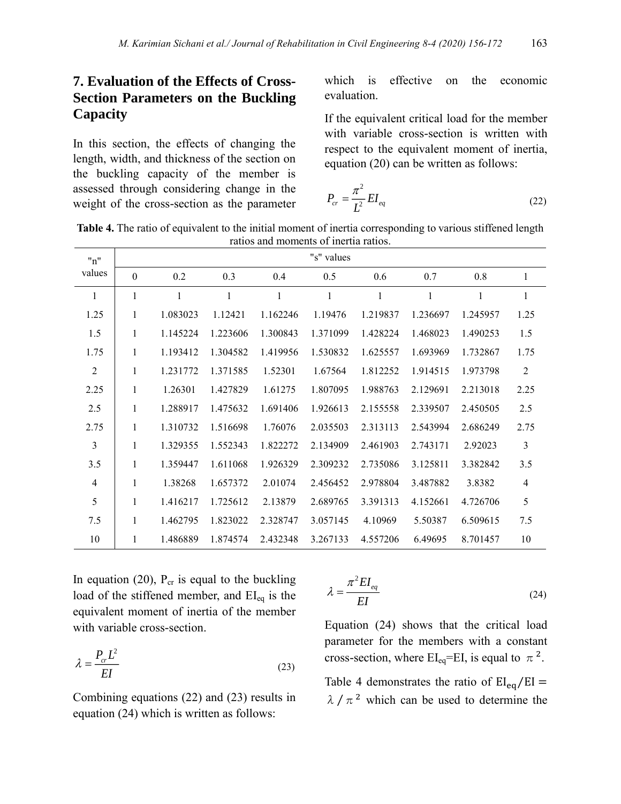## **7. Evaluation of the Effects of Cross-Section Parameters on the Buckling Capacity**

In this section, the effects of changing the length, width, and thickness of the section on the buckling capacity of the member is assessed through considering change in the weight of the cross-section as the parameter which is effective on the economic evaluation.

If the equivalent critical load for the member with variable cross-section is written with respect to the equivalent moment of inertia, equation (20) can be written as follows:

$$
P_{cr} = \frac{\pi^2}{L^2} EI_{eq} \tag{22}
$$

**Table 4.** The ratio of equivalent to the initial moment of inertia corresponding to various stiffened length ratios and moments of inertia ratios.

| "n"                      |          |          |          |              | "s" values |          |          |              |                |
|--------------------------|----------|----------|----------|--------------|------------|----------|----------|--------------|----------------|
| values                   | $\theta$ | 0.2      | 0.3      | 0.4          | 0.5        | 0.6      | 0.7      | 0.8          | $\mathbf{1}$   |
| $\mathbf{1}$             | 1        | 1        | 1        | $\mathbf{1}$ | 1          | 1        | 1        | $\mathbf{1}$ | $\mathbf{1}$   |
| 1.25                     | 1        | 1.083023 | 1.12421  | 1.162246     | 1.19476    | 1.219837 | 1.236697 | 1.245957     | 1.25           |
| 1.5                      | 1        | 1.145224 | 1.223606 | 1.300843     | 1.371099   | 1.428224 | 1.468023 | 1.490253     | 1.5            |
| 1.75                     | 1        | 1.193412 | 1.304582 | 1.419956     | 1.530832   | 1.625557 | 1.693969 | 1.732867     | 1.75           |
| $\overline{2}$           | 1        | 1.231772 | 1.371585 | 1.52301      | 1.67564    | 1.812252 | 1.914515 | 1.973798     | $\overline{2}$ |
| 2.25                     | 1        | 1.26301  | 1.427829 | 1.61275      | 1.807095   | 1.988763 | 2.129691 | 2.213018     | 2.25           |
| 2.5                      | 1        | 1.288917 | 1.475632 | 1.691406     | 1.926613   | 2.155558 | 2.339507 | 2.450505     | 2.5            |
| 2.75                     | 1        | 1.310732 | 1.516698 | 1.76076      | 2.035503   | 2.313113 | 2.543994 | 2.686249     | 2.75           |
| 3                        | 1        | 1.329355 | 1.552343 | 1.822272     | 2.134909   | 2.461903 | 2.743171 | 2.92023      | 3              |
| 3.5                      | 1        | 1.359447 | 1.611068 | 1.926329     | 2.309232   | 2.735086 | 3.125811 | 3.382842     | 3.5            |
| $\overline{\mathcal{A}}$ | 1        | 1.38268  | 1.657372 | 2.01074      | 2.456452   | 2.978804 | 3.487882 | 3.8382       | $\overline{4}$ |
| 5                        | 1        | 1.416217 | 1.725612 | 2.13879      | 2.689765   | 3.391313 | 4.152661 | 4.726706     | 5              |
| 7.5                      | 1        | 1.462795 | 1.823022 | 2.328747     | 3.057145   | 4.10969  | 5.50387  | 6.509615     | 7.5            |
| 10                       | 1        | 1.486889 | 1.874574 | 2.432348     | 3.267133   | 4.557206 | 6.49695  | 8.701457     | 10             |

In equation (20),  $P_{cr}$  is equal to the buckling load of the stiffened member, and  $EI_{eq}$  is the equivalent moment of inertia of the member with variable cross-section.

$$
\lambda = \frac{P_{cr}L^2}{EI} \tag{23}
$$

Combining equations (22) and (23) results in equation (24) which is written as follows:

$$
\lambda = \frac{\pi^2 EI_{eq}}{EI} \tag{24}
$$

Equation (24) shows that the critical load parameter for the members with a constant cross-section, where  $EI_{eq} = EI$ , is equal to  $\pi^2$ .

Table 4 demonstrates the ratio of  $EI_{eq}/EI =$  $\lambda / \pi^2$  which can be used to determine the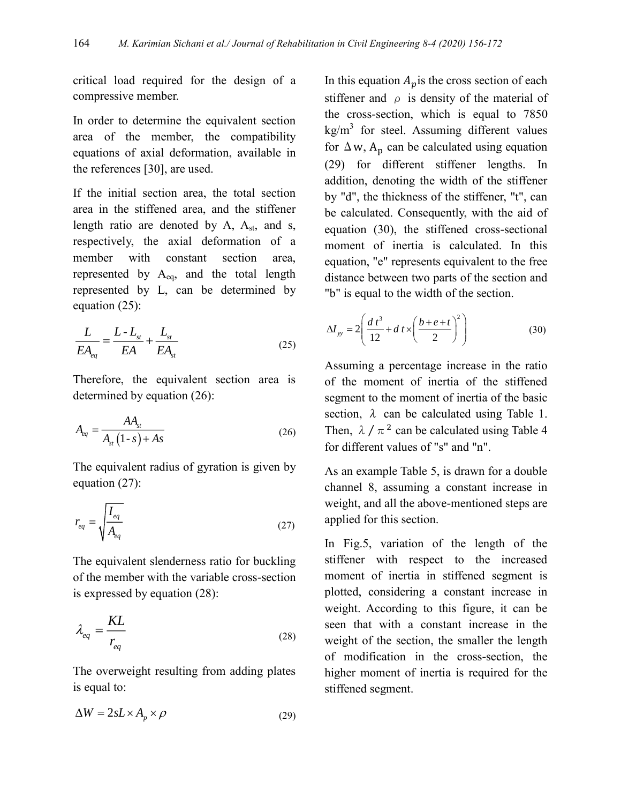critical load required for the design of a compressive member.

In order to determine the equivalent section area of the member, the compatibility equations of axial deformation, available in the references [30], are used.

If the initial section area, the total section area in the stiffened area, and the stiffener length ratio are denoted by A, A<sub>st</sub>, and s, respectively, the axial deformation of a member with constant section area, represented by  $A_{eq}$ , and the total length represented by L, can be determined by equation (25):

$$
\frac{L}{EA_{eq}} = \frac{L - L_{st}}{EA} + \frac{L_{st}}{EA_{st}} \tag{25}
$$

Therefore, the equivalent section area is determined by equation (26):

$$
A_{eq} = \frac{AA_{st}}{A_{st} \left(1 - s\right) + As} \tag{26}
$$

The equivalent radius of gyration is given by equation (27):

$$
r_{eq} = \sqrt{\frac{I_{eq}}{A_{eq}}}
$$
 (27)

The equivalent slenderness ratio for buckling of the member with the variable cross-section is expressed by equation (28):

$$
\lambda_{eq} = \frac{KL}{r_{eq}}\tag{28}
$$

The overweight resulting from adding plates is equal to:

$$
\Delta W = 2sL \times A_p \times \rho \tag{29}
$$

In this equation  $A_p$  is the cross section of each stiffener and  $\rho$  is density of the material of the cross-section, which is equal to 7850  $kg/m<sup>3</sup>$  for steel. Assuming different values for  $\Delta w$ ,  $A_p$  can be calculated using equation (29) for different stiffener lengths. In addition, denoting the width of the stiffener by "d", the thickness of the stiffener, "t", can be calculated. Consequently, with the aid of equation (30), the stiffened cross-sectional moment of inertia is calculated. In this equation, "e" represents equivalent to the free distance between two parts of the section and "b" is equal to the width of the section.

$$
\Delta I_{yy} = 2 \left( \frac{d \, t^3}{12} + d \, t \times \left( \frac{b + e + t}{2} \right)^2 \right) \tag{30}
$$

Assuming a percentage increase in the ratio of the moment of inertia of the stiffened segment to the moment of inertia of the basic section,  $\lambda$  can be calculated using Table 1. Then,  $\lambda / \pi^2$  can be calculated using Table 4 for different values of "s" and "n".

As an example Table 5, is drawn for a double channel 8, assuming a constant increase in weight, and all the above-mentioned steps are applied for this section.

In Fig.5, variation of the length of the stiffener with respect to the increased moment of inertia in stiffened segment is plotted, considering a constant increase in weight. According to this figure, it can be seen that with a constant increase in the weight of the section, the smaller the length of modification in the cross-section, the higher moment of inertia is required for the stiffened segment.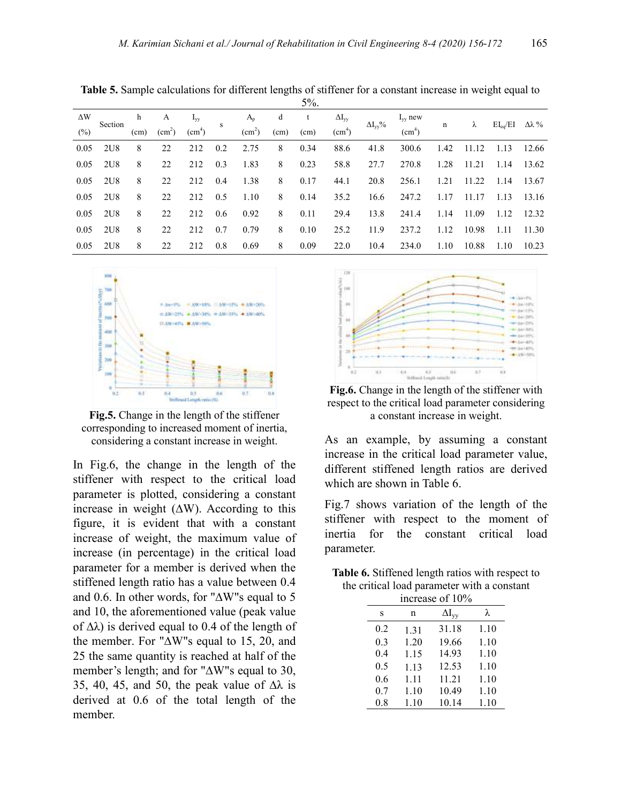|            |         |      |                    |                    |     |                    |      | 7/0. |                    |                   |                    |      |       |              |       |
|------------|---------|------|--------------------|--------------------|-----|--------------------|------|------|--------------------|-------------------|--------------------|------|-------|--------------|-------|
| $\Delta W$ | Section | h    | A                  | $I_{vv}$           | s   | $A_{n}$            | d    | t    | $\Delta I_{vv}$    | $\Delta I_{vv}\%$ | $I_{vv}$ new       | n    | λ     | $EI_{eq}/EI$ | Δλ %  |
| (%)        |         | (cm) | (cm <sup>2</sup> ) | (cm <sup>4</sup> ) |     | (cm <sup>2</sup> ) | (cm) | (cm) | (cm <sup>4</sup> ) |                   | (cm <sup>4</sup> ) |      |       |              |       |
| 0.05       | 2U8     | 8    | 22                 | 212                | 0.2 | 2.75               | 8    | 0.34 | 88.6               | 41.8              | 300.6              | 1.42 | 11.12 | 1.13         | 12.66 |
| 0.05       | 2U8     | 8    | 22                 | 212                | 0.3 | 1.83               | 8    | 0.23 | 58.8               | 27.7              | 270.8              | 1.28 | 11.21 | 1.14         | 13.62 |
| 0.05       | 2U8     | 8    | 22                 | 212                | 0.4 | 1.38               | 8    | 0.17 | 44.1               | 20.8              | 256.1              | 1.21 | 11.22 | 1.14         | 13.67 |
| 0.05       | 2U8     | 8    | 22                 | 212                | 0.5 | 1.10               | 8    | 0.14 | 35.2               | 16.6              | 247.2              | 1.17 | 11.17 | 1.13         | 13.16 |
| 0.05       | 2U8     | 8    | 22                 | 212                | 0.6 | 0.92               | 8    | 0.11 | 29.4               | 13.8              | 241.4              | 1.14 | 11.09 | 1.12         | 12.32 |
| 0.05       | 2U8     | 8    | 22                 | 212                | 0.7 | 0.79               | 8    | 0.10 | 25.2               | 11.9              | 237.2              | 1.12 | 10.98 | 1.11         | 11.30 |
| 0.05       | 2U8     | 8    | 22                 | 212                | 0.8 | 0.69               | 8    | 0.09 | 22.0               | 10.4              | 234.0              | 1.10 | 10.88 | 1.10         | 10.23 |

**Table 5.** Sample calculations for different lengths of stiffener for a constant increase in weight equal to  $50/$ 



**Fig.5.** Change in the length of the stiffener corresponding to increased moment of inertia, considering a constant increase in weight.

In Fig.6, the change in the length of the stiffener with respect to the critical load parameter is plotted, considering a constant increase in weight  $(∆W)$ . According to this figure, it is evident that with a constant increase of weight, the maximum value of increase (in percentage) in the critical load parameter for a member is derived when the stiffened length ratio has a value between 0.4 and 0.6. In other words, for "∆W"s equal to 5 and 10, the aforementioned value (peak value of  $\Delta\lambda$ ) is derived equal to 0.4 of the length of the member. For "∆W"s equal to 15, 20, and 25 the same quantity is reached at half of the member's length; and for "∆W"s equal to 30, 35, 40, 45, and 50, the peak value of  $\Delta\lambda$  is derived at 0.6 of the total length of the member.



**Fig.6.** Change in the length of the stiffener with respect to the critical load parameter considering a constant increase in weight.

As an example, by assuming a constant increase in the critical load parameter value, different stiffened length ratios are derived which are shown in Table 6.

Fig.7 shows variation of the length of the stiffener with respect to the moment of inertia for the constant critical load parameter.

| Table 6. Stiffened length ratios with respect to |
|--------------------------------------------------|
| the critical load parameter with a constant      |

|     |      | increase of 10% |      |
|-----|------|-----------------|------|
| s   | n    | $\Delta I_{vv}$ | λ    |
| 0.2 | 1.31 | 31.18           | 1.10 |
| 0.3 | 1.20 | 19.66           | 1.10 |
| 0.4 | 1.15 | 14.93           | 1.10 |
| 0.5 | 1.13 | 12.53           | 1.10 |
| 0.6 | 1.11 | 11.21           | 1.10 |
| 0.7 | 1.10 | 10.49           | 1.10 |
| 0.8 | 1.10 | 10.14           | 1.10 |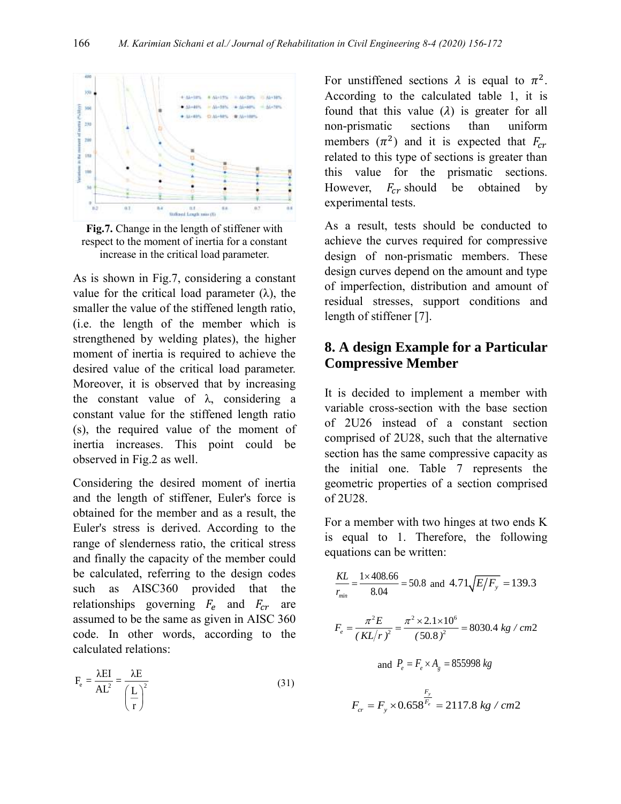

**Fig.7.** Change in the length of stiffener with respect to the moment of inertia for a constant increase in the critical load parameter.

As is shown in Fig.7, considering a constant value for the critical load parameter  $(\lambda)$ , the smaller the value of the stiffened length ratio, (i.e. the length of the member which is strengthened by welding plates), the higher moment of inertia is required to achieve the desired value of the critical load parameter. Moreover, it is observed that by increasing the constant value of  $\lambda$ , considering a constant value for the stiffened length ratio (s), the required value of the moment of inertia increases. This point could be observed in Fig.2 as well.

Considering the desired moment of inertia and the length of stiffener, Euler's force is obtained for the member and as a result, the Euler's stress is derived. According to the range of slenderness ratio, the critical stress and finally the capacity of the member could be calculated, referring to the design codes such as AISC360 provided that the relationships governing  $F_e$  and  $F_{cr}$  are assumed to be the same as given in AISC 360 code. In other words, according to the calculated relations:

$$
F_e = \frac{\lambda EI}{AL^2} = \frac{\lambda E}{\left(\frac{L}{r}\right)^2}
$$
 (31)

For unstiffened sections  $\lambda$  is equal to  $\pi^2$ . According to the calculated table 1, it is found that this value  $(\lambda)$  is greater for all non-prismatic sections than uniform members  $(\pi^2)$  and it is expected that  $F_{cr}$ related to this type of sections is greater than this value for the prismatic sections. However,  $F_{cr}$  should be obtained by experimental tests.

As a result, tests should be conducted to achieve the curves required for compressive design of non-prismatic members. These design curves depend on the amount and type of imperfection, distribution and amount of residual stresses, support conditions and length of stiffener [7].

## **8. A design Example for a Particular Compressive Member**

It is decided to implement a member with variable cross-section with the base section of 2U26 instead of a constant section comprised of 2U28, such that the alternative section has the same compressive capacity as the initial one. Table 7 represents the geometric properties of a section comprised of 2U28.

For a member with two hinges at two ends K is equal to 1. Therefore, the following equations can be written:

$$
\frac{KL}{r_{min}} = \frac{1 \times 408.66}{8.04} = 50.8 \text{ and } 4.71 \sqrt{E/F_y} = 139.3
$$
  

$$
F_e = \frac{\pi^2 E}{(KL/r)^2} = \frac{\pi^2 \times 2.1 \times 10^6}{(50.8)^2} = 8030.4 \text{ kg / cm2}
$$
  
and  $P_e = F_e \times A_g = 855998 \text{ kg}$   

$$
F_{cr} = F_y \times 0.658 \frac{F_y}{F_e} = 2117.8 \text{ kg / cm2}
$$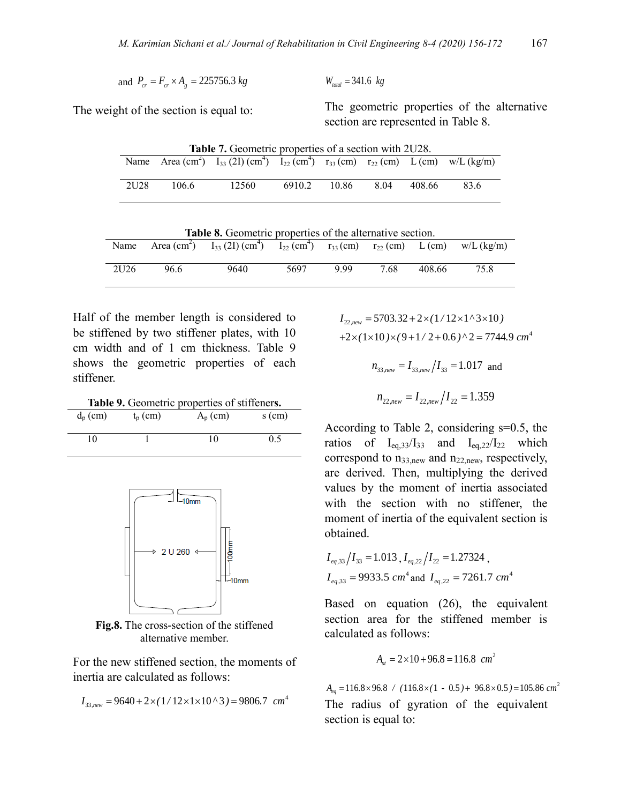$W_{total} = 341.6 \text{ kg}$ 

and 
$$
P_{cr} = F_{cr} \times A_g = 225756.3 \text{ kg}
$$

The weight of the section is equal to:

The geometric properties of the alternative section are represented in Table 8.

|      |       | <b>Table 7.</b> Geometric properties of a section with 2U28.                                                                                |        |       |      |        |      |
|------|-------|---------------------------------------------------------------------------------------------------------------------------------------------|--------|-------|------|--------|------|
|      |       | Name Area (cm <sup>2</sup> ) $I_{33}$ (2I) (cm <sup>4</sup> ) $I_{22}$ (cm <sup>4</sup> ) $r_{33}$ (cm) $r_{22}$ (cm) $L$ (cm) $w/L$ (kg/m) |        |       |      |        |      |
|      |       |                                                                                                                                             |        |       |      |        |      |
| 2U28 | 106.6 | 12560                                                                                                                                       | 6910.2 | 10.86 | 8.04 | 408.66 | 83.6 |
|      |       |                                                                                                                                             |        |       |      |        |      |

|                  |      | <b>Table 8.</b> Geometric properties of the alternative section.                                                                       |      |     |      |        |      |
|------------------|------|----------------------------------------------------------------------------------------------------------------------------------------|------|-----|------|--------|------|
| Name             |      | Area (cm <sup>2</sup> ) $I_{33}$ (2I) (cm <sup>4</sup> ) $I_{22}$ (cm <sup>4</sup> ) $r_{33}$ (cm) $r_{22}$ (cm) $L$ (cm) $w/L$ (kg/m) |      |     |      |        |      |
|                  |      |                                                                                                                                        |      |     |      |        |      |
| 2U <sub>26</sub> | 96.6 | 9640                                                                                                                                   | 5697 | 999 | 7.68 | 408.66 | 75.8 |
|                  |      |                                                                                                                                        |      |     |      |        |      |

Half of the member length is considered to be stiffened by two stiffener plates, with 10 cm width and of 1 cm thickness. Table 9 shows the geometric properties of each stiffener.

**Table 9.** Geometric properties of stiffener**s.**

| $d_p$ (cm) | $t_p$ (cm) | $A_p$ (cm) | $s$ (cm) |
|------------|------------|------------|----------|
| 10         |            | 10         | 0.5      |



**Fig.8.** The cross-section of the stiffened alternative member.

For the new stiffened section, the moments of inertia are calculated as follows:

$$
I_{33,new} = 9640 + 2 \times (1/12 \times 1 \times 10^8) = 9806.7 \text{ cm}^4
$$

 $+2\times(1\times10)\times(9+1/2+0.6)^{2}=7744.9$  cm<sup>4</sup>  $I_{22,new} = 5703.32 + 2 \times (1/12 \times 1^{\circ} 3 \times 10^{\circ})$  $n_{33,new} = I_{33,new}/I_{33} = 1.017$  and  $n_{22,new}=I_{22,new}/I_{22}=1.359$ 

According to Table 2, considering s=0.5, the ratios of  $I_{eq,3}/I_{33}$  and  $I_{eq,22}/I_{22}$  which correspond to  $n_{33,new}$  and  $n_{22,new}$ , respectively, are derived. Then, multiplying the derived values by the moment of inertia associated with the section with no stiffener, the moment of inertia of the equivalent section is obtained.

$$
I_{eq,33}/I_{33} = 1.013
$$
,  $I_{eq,22}/I_{22} = 1.27324$ ,  
 $I_{eq,33} = 9933.5$  cm<sup>4</sup> and  $I_{eq,22} = 7261.7$  cm<sup>4</sup>

Based on equation (26), the equivalent section area for the stiffened member is calculated as follows:

$$
A_{st} = 2 \times 10 + 96.8 = 116.8 \text{ cm}^2
$$

 $A_{eq} = 116.8 \times 96.8$  / ( $116.8 \times (1 - 0.5) + 96.8 \times 0.5$ ) = 105.86  $cm<sup>2</sup>$ The radius of gyration of the equivalent section is equal to: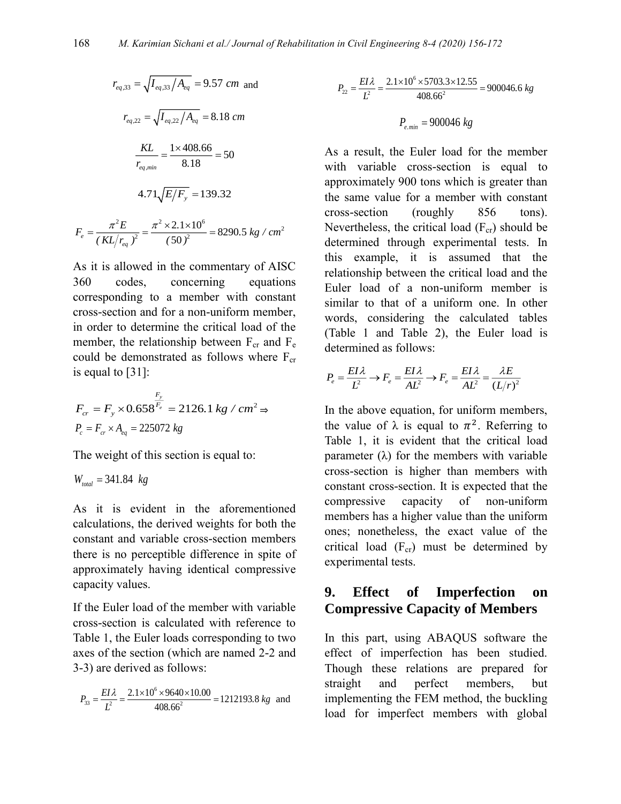$$
r_{eq,33} = \sqrt{I_{eq,33}/A_{eq}} = 9.57 \text{ cm and}
$$
\n
$$
r_{eq,22} = \sqrt{I_{eq,22}/A_{eq}} = 8.18 \text{ cm}
$$
\n
$$
\frac{KL}{r_{eq,min}} = \frac{1 \times 408.66}{8.18} = 50
$$
\n
$$
4.71\sqrt{E/F_y} = 139.32
$$
\n
$$
F_e = \frac{\pi^2 E}{(KL/r_{eq})^2} = \frac{\pi^2 \times 2.1 \times 10^6}{(50)^2} = 8290.5 \text{ kg } / \text{ cm}^2
$$

As it is allowed in the commentary of AISC 360 codes, concerning equations corresponding to a member with constant cross-section and for a non-uniform member, in order to determine the critical load of the member, the relationship between  $F_{cr}$  and  $F_{e}$ could be demonstrated as follows where  $F_{cr}$ is equal to [31]:

$$
F_{cr} = F_y \times 0.658^{\frac{F_y}{F_e}} = 2126.1 \text{ kg} / \text{cm}^2 \Rightarrow P_c = F_{cr} \times A_{eq} = 225072 \text{ kg}
$$

The weight of this section is equal to:

$$
W_{total} = 341.84 \text{ kg}
$$

As it is evident in the aforementioned calculations, the derived weights for both the constant and variable cross-section members there is no perceptible difference in spite of approximately having identical compressive capacity values.

If the Euler load of the member with variable cross-section is calculated with reference to Table 1, the Euler loads corresponding to two axes of the section (which are named 2-2 and 3-3) are derived as follows:

$$
P_{33} = \frac{EI\lambda}{L^2} = \frac{2.1 \times 10^6 \times 9640 \times 10.00}{408.66^2} = 1212193.8 \text{ kg} \text{ and}
$$

$$
P_{22} = \frac{EI\lambda}{L^2} = \frac{2.1 \times 10^6 \times 5703.3 \times 12.55}{408.66^2} = 900046.6 \text{ kg}
$$

$$
P_{e,min} = 900046 \ kg
$$

As a result, the Euler load for the member with variable cross-section is equal to approximately 900 tons which is greater than the same value for a member with constant cross-section (roughly 856 tons). Nevertheless, the critical load  $(F_{cr})$  should be determined through experimental tests. In this example, it is assumed that the relationship between the critical load and the Euler load of a non-uniform member is similar to that of a uniform one. In other words, considering the calculated tables (Table 1 and Table 2), the Euler load is determined as follows:

determined as follows:  
\n
$$
P_e = \frac{EI\lambda}{L^2} \rightarrow F_e = \frac{EI\lambda}{AL^2} \rightarrow F_e = \frac{EI\lambda}{AL^2} = \frac{\lambda E}{(L/r)^2}
$$

In the above equation, for uniform members, the value of  $\lambda$  is equal to  $\pi^2$ . Referring to Table 1, it is evident that the critical load parameter  $(\lambda)$  for the members with variable cross-section is higher than members with constant cross-section. It is expected that the compressive capacity of non-uniform members has a higher value than the uniform ones; nonetheless, the exact value of the critical load  $(F_{cr})$  must be determined by experimental tests.

#### **9. Effect of Imperfection on Compressive Capacity of Members**

In this part, using ABAQUS software the effect of imperfection has been studied. Though these relations are prepared for straight and perfect members, but implementing the FEM method, the buckling load for imperfect members with global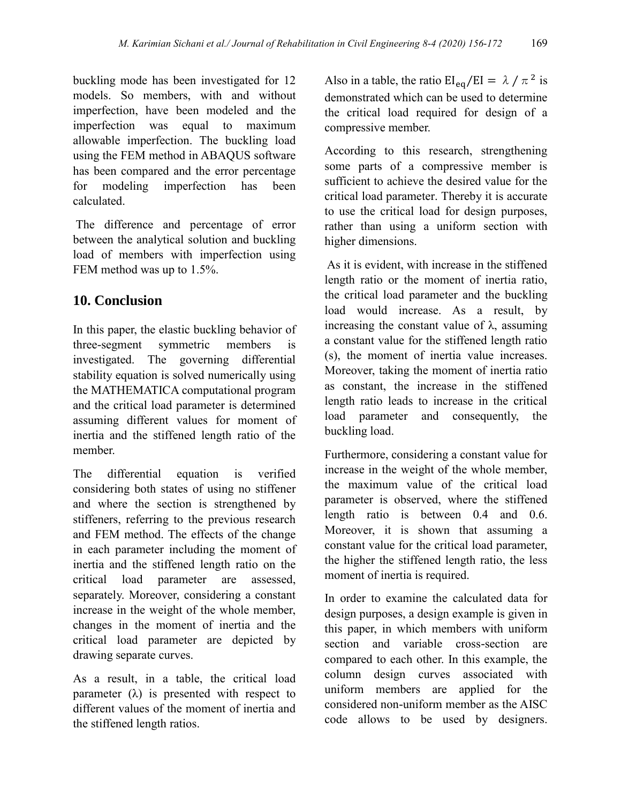buckling mode has been investigated for 12 models. So members, with and without imperfection, have been modeled and the imperfection was equal to maximum allowable imperfection. The buckling load using the FEM method in ABAQUS software has been compared and the error percentage for modeling imperfection has been calculated.

The difference and percentage of error between the analytical solution and buckling load of members with imperfection using FEM method was up to 1.5%.

## **10. Conclusion**

In this paper, the elastic buckling behavior of three-segment symmetric members is investigated. The governing differential stability equation is solved numerically using the MATHEMATICA computational program and the critical load parameter is determined assuming different values for moment of inertia and the stiffened length ratio of the member.

The differential equation is verified considering both states of using no stiffener and where the section is strengthened by stiffeners, referring to the previous research and FEM method. The effects of the change in each parameter including the moment of inertia and the stiffened length ratio on the critical load parameter are assessed, separately. Moreover, considering a constant increase in the weight of the whole member, changes in the moment of inertia and the critical load parameter are depicted by drawing separate curves.

As a result, in a table, the critical load parameter  $(\lambda)$  is presented with respect to different values of the moment of inertia and the stiffened length ratios.

Also in a table, the ratio  $EI_{eq}/EI = \lambda / \pi^2$  is demonstrated which can be used to determine the critical load required for design of a compressive member.

According to this research, strengthening some parts of a compressive member is sufficient to achieve the desired value for the critical load parameter. Thereby it is accurate to use the critical load for design purposes, rather than using a uniform section with higher dimensions.

As it is evident, with increase in the stiffened length ratio or the moment of inertia ratio, the critical load parameter and the buckling load would increase. As a result, by increasing the constant value of  $\lambda$ , assuming a constant value for the stiffened length ratio (s), the moment of inertia value increases. Moreover, taking the moment of inertia ratio as constant, the increase in the stiffened length ratio leads to increase in the critical load parameter and consequently, the buckling load.

Furthermore, considering a constant value for increase in the weight of the whole member, the maximum value of the critical load parameter is observed, where the stiffened length ratio is between 0.4 and 0.6. Moreover, it is shown that assuming a constant value for the critical load parameter, the higher the stiffened length ratio, the less moment of inertia is required.

In order to examine the calculated data for design purposes, a design example is given in this paper, in which members with uniform section and variable cross-section are compared to each other. In this example, the column design curves associated with uniform members are applied for the considered non-uniform member as the AISC code allows to be used by designers.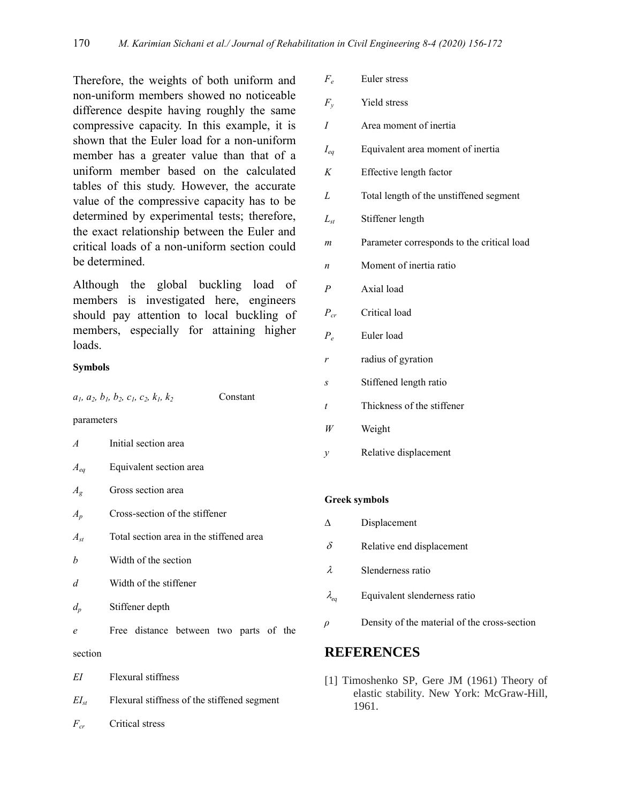Therefore, the weights of both uniform and non-uniform members showed no noticeable difference despite having roughly the same compressive capacity. In this example, it is shown that the Euler load for a non-uniform member has a greater value than that of a uniform member based on the calculated tables of this study. However, the accurate value of the compressive capacity has to be determined by experimental tests; therefore, the exact relationship between the Euler and critical loads of a non-uniform section could be determined.

Although the global buckling load of members is investigated here, engineers should pay attention to local buckling of members, especially for attaining higher loads.

#### **Symbols**

| $a_1$ , $a_2$ , $b_1$ , $b_2$ , $c_1$ , $c_2$ , $k_1$ , $k_2$<br>Constant |  |
|---------------------------------------------------------------------------|--|
|---------------------------------------------------------------------------|--|

parameters

| $\overline{A}$ | Initial section area                        |
|----------------|---------------------------------------------|
| $A_{eq}$       | Equivalent section area                     |
| $A_{g}$        | Gross section area                          |
| $A_p$          | Cross-section of the stiffener              |
| $A_{st}$       | Total section area in the stiffened area    |
| h              | Width of the section                        |
| d              | Width of the stiffener                      |
| $d_p$          | Stiffener depth                             |
| e              | Free distance between two parts of the      |
| section        |                                             |
| EI             | Flexural stiffness                          |
| $EI_{st}$      | Flexural stiffness of the stiffened segment |
| $F_{cr}$       | Critical stress                             |

| $F_e$                | Euler stress                               |
|----------------------|--------------------------------------------|
| $F_{v}$              | Yield stress                               |
| I                    | Area moment of inertia                     |
| $I_{eq}$             | Equivalent area moment of inertia          |
| K                    | Effective length factor                    |
| L                    | Total length of the unstiffened segment    |
| $L_{st}$             | Stiffener length                           |
| $\mathfrak{m}$       | Parameter corresponds to the critical load |
| n                    | Moment of inertia ratio                    |
| $\overline{P}$       | Axial load                                 |
| $P_{cr}$             | Critical load                              |
| $P_e$                | Euler load                                 |
| r                    | radius of gyration                         |
| S                    | Stiffened length ratio                     |
| t                    | Thickness of the stiffener                 |
| W                    | Weight                                     |
| $\mathcal{Y}$        | Relative displacement                      |
|                      |                                            |
| <b>Greek symbols</b> |                                            |
| Δ                    | Displacement                               |
| δ                    | Relative end displacement                  |
|                      |                                            |

- $\lambda$ Slenderness ratio
- $\lambda_{eq}$ Equivalent slenderness ratio
- *ρ* Density of the material of the cross-section

#### **REFERENCES**

[1] Timoshenko SP, Gere JM (1961) Theory of elastic stability. New York: McGraw-Hill, 1961.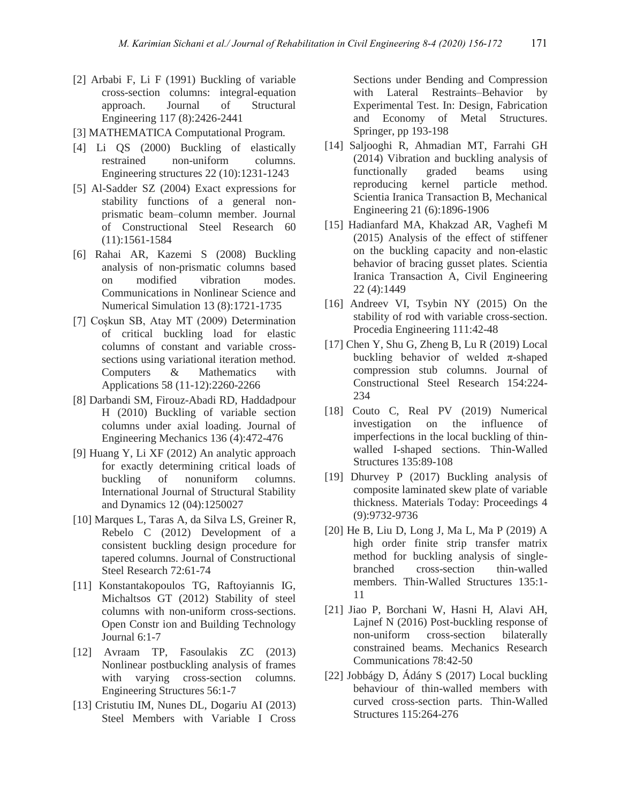- [2] Arbabi F, Li F (1991) Buckling of variable cross-section columns: integral-equation approach. Journal of Structural Engineering 117 (8):2426-2441
- [3] MATHEMATICA Computational Program.
- [4] Li QS (2000) Buckling of elastically restrained non-uniform columns. Engineering structures 22 (10):1231-1243
- [5] Al-Sadder SZ (2004) Exact expressions for stability functions of a general nonprismatic beam–column member. Journal of Constructional Steel Research 60 (11):1561-1584
- [6] Rahai AR, Kazemi S (2008) Buckling analysis of non-prismatic columns based on modified vibration modes. Communications in Nonlinear Science and Numerical Simulation 13 (8):1721-1735
- [7] Coşkun SB, Atay MT (2009) Determination of critical buckling load for elastic columns of constant and variable crosssections using variational iteration method. Computers & Mathematics with Applications 58 (11-12):2260-2266
- [8] Darbandi SM, Firouz-Abadi RD, Haddadpour H (2010) Buckling of variable section columns under axial loading. Journal of Engineering Mechanics 136 (4):472-476
- [9] Huang Y, Li XF (2012) An analytic approach for exactly determining critical loads of buckling of nonuniform columns. International Journal of Structural Stability and Dynamics 12 (04):1250027
- [10] Marques L, Taras A, da Silva LS, Greiner R, Rebelo C (2012) Development of a consistent buckling design procedure for tapered columns. Journal of Constructional Steel Research 72:61-74
- [11] Konstantakopoulos TG, Raftoyiannis IG, Michaltsos GT (2012) Stability of steel columns with non-uniform cross-sections. Open Constr ion and Building Technology Journal 6:1-7
- [12] Avraam TP, Fasoulakis ZC (2013) Nonlinear postbuckling analysis of frames with varying cross-section columns. Engineering Structures 56:1-7
- [13] Cristutiu IM, Nunes DL, Dogariu AI (2013) Steel Members with Variable I Cross

Sections under Bending and Compression with Lateral Restraints–Behavior by Experimental Test. In: Design, Fabrication and Economy of Metal Structures. Springer, pp 193-198

- [14] Saljooghi R, Ahmadian MT, Farrahi GH (2014) Vibration and buckling analysis of functionally graded beams using reproducing kernel particle method. Scientia Iranica Transaction B, Mechanical Engineering 21 (6):1896-1906
- [15] Hadianfard MA, Khakzad AR, Vaghefi M (2015) Analysis of the effect of stiffener on the buckling capacity and non-elastic behavior of bracing gusset plates. Scientia Iranica Transaction A, Civil Engineering 22 (4):1449
- [16] Andreev VI, Tsybin NY (2015) On the stability of rod with variable cross-section. Procedia Engineering 111:42-48
- [17] Chen Y, Shu G, Zheng B, Lu R (2019) Local buckling behavior of welded  $\pi$ -shaped compression stub columns. Journal of Constructional Steel Research 154:224- 234
- [18] Couto C, Real PV (2019) Numerical investigation on the influence of imperfections in the local buckling of thinwalled I-shaped sections. Thin-Walled Structures 135:89-108
- [19] Dhurvey P (2017) Buckling analysis of composite laminated skew plate of variable thickness. Materials Today: Proceedings 4 (9):9732-9736
- [20] He B, Liu D, Long J, Ma L, Ma P (2019) A high order finite strip transfer matrix method for buckling analysis of singlebranched cross-section thin-walled members. Thin-Walled Structures 135:1- 11
- [21] Jiao P, Borchani W, Hasni H, Alavi AH, Lajnef N (2016) Post-buckling response of non-uniform cross-section bilaterally constrained beams. Mechanics Research Communications 78:42-50
- [22] Jobbágy D, Ádány S (2017) Local buckling behaviour of thin-walled members with curved cross-section parts. Thin-Walled Structures 115:264-276